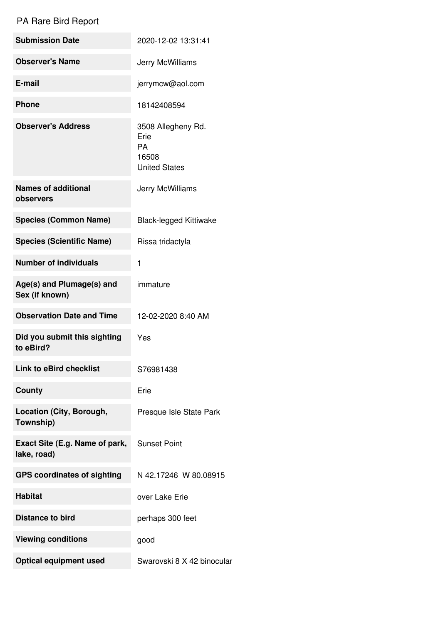## PA Rare Bird Report

| <b>Submission Date</b>                        | 2020-12-02 13:31:41                                                      |
|-----------------------------------------------|--------------------------------------------------------------------------|
| <b>Observer's Name</b>                        | Jerry McWilliams                                                         |
| E-mail                                        | jerrymcw@aol.com                                                         |
| <b>Phone</b>                                  | 18142408594                                                              |
| <b>Observer's Address</b>                     | 3508 Allegheny Rd.<br>Erie<br><b>PA</b><br>16508<br><b>United States</b> |
| <b>Names of additional</b><br>observers       | Jerry McWilliams                                                         |
| <b>Species (Common Name)</b>                  | <b>Black-legged Kittiwake</b>                                            |
| <b>Species (Scientific Name)</b>              | Rissa tridactyla                                                         |
| <b>Number of individuals</b>                  | 1                                                                        |
| Age(s) and Plumage(s) and<br>Sex (if known)   | immature                                                                 |
| <b>Observation Date and Time</b>              | 12-02-2020 8:40 AM                                                       |
| Did you submit this sighting<br>to eBird?     | Yes                                                                      |
| <b>Link to eBird checklist</b>                | S76981438                                                                |
| <b>County</b>                                 | Erie                                                                     |
| Location (City, Borough,<br>Township)         | Presque Isle State Park                                                  |
| Exact Site (E.g. Name of park,<br>lake, road) | <b>Sunset Point</b>                                                      |
| <b>GPS coordinates of sighting</b>            | N 42.17246 W 80.08915                                                    |
| <b>Habitat</b>                                | over Lake Erie                                                           |
| <b>Distance to bird</b>                       | perhaps 300 feet                                                         |
| <b>Viewing conditions</b>                     | good                                                                     |
| <b>Optical equipment used</b>                 | Swarovski 8 X 42 binocular                                               |